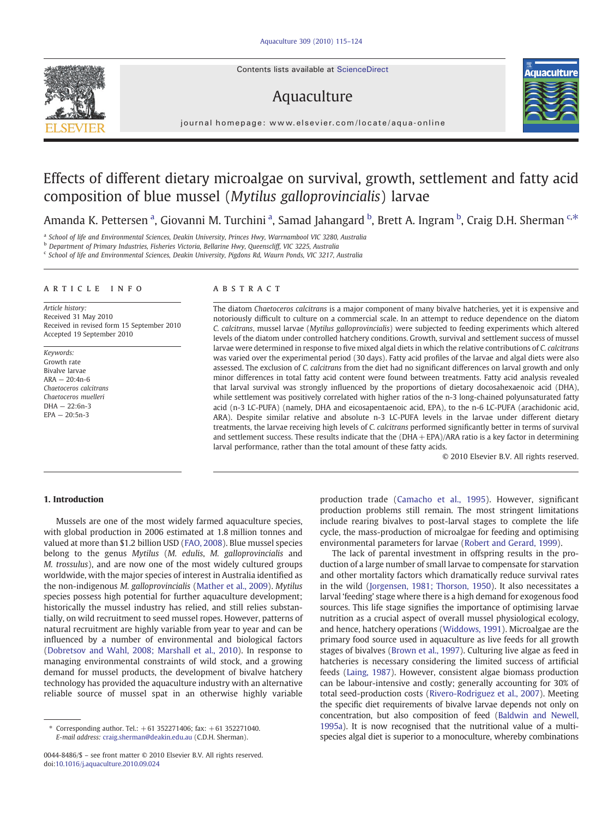Contents lists available at ScienceDirect

# Aquaculture



 $j$  o u r n a l  $j$  of  $\mathcal{S}$  . We can consider the commodation of  $\mathcal{S}$ 

# Effects of different dietary microalgae on survival, growth, settlement and fatty acid composition of blue mussel (Mytilus galloprovincialis) larvae

Amanda K. Pettersen <sup>a</sup>, Giovanni M. Turchini <sup>a</sup>, Samad Jahangard <sup>b</sup>, Brett A. Ingram <sup>b</sup>, Craig D.H. Sherman <sup>c,\*</sup>

<sup>a</sup> School of life and Environmental Sciences, Deakin University, Princes Hwy, Warrnambool VIC 3280, Australia

<sup>b</sup> Department of Primary Industries, Fisheries Victoria, Bellarine Hwy, Queenscliff, VIC 3225, Australia

<sup>c</sup> School of life and Environmental Sciences, Deakin University, Pigdons Rd, Waurn Ponds, VIC 3217, Australia

#### article info abstract

Article history: Received 31 May 2010 Received in revised form 15 September 2010 Accepted 19 September 2010

Keywords: Growth rate Bivalve larvae  $ARA - 20:4n-6$ Chaetoceros calcitrans Chaetoceros muelleri DHA — 22:6n-3  $EPA - 20:5n-3$ 

The diatom Chaetoceros calcitrans is a major component of many bivalve hatcheries, yet it is expensive and notoriously difficult to culture on a commercial scale. In an attempt to reduce dependence on the diatom C. calcitrans, mussel larvae (Mytilus galloprovincialis) were subjected to feeding experiments which altered levels of the diatom under controlled hatchery conditions. Growth, survival and settlement success of mussel larvae were determined in response to five mixed algal diets in which the relative contributions of C. calcitrans was varied over the experimental period (30 days). Fatty acid profiles of the larvae and algal diets were also assessed. The exclusion of C. calcitrans from the diet had no significant differences on larval growth and only minor differences in total fatty acid content were found between treatments. Fatty acid analysis revealed that larval survival was strongly influenced by the proportions of dietary docosahexaenoic acid (DHA), while settlement was positively correlated with higher ratios of the n-3 long-chained polyunsaturated fatty acid (n-3 LC-PUFA) (namely, DHA and eicosapentaenoic acid, EPA), to the n-6 LC-PUFA (arachidonic acid, ARA). Despite similar relative and absolute n-3 LC-PUFA levels in the larvae under different dietary treatments, the larvae receiving high levels of C. calcitrans performed significantly better in terms of survival and settlement success. These results indicate that the (DHA+ EPA)/ARA ratio is a key factor in determining larval performance, rather than the total amount of these fatty acids.

© 2010 Elsevier B.V. All rights reserved.

# 1. Introduction

Mussels are one of the most widely farmed aquaculture species, with global production in 2006 estimated at 1.8 million tonnes and valued at more than \$1.2 billion USD [\(FAO, 2008\)](#page-8-0). Blue mussel species belong to the genus Mytilus (M. edulis, M. galloprovincialis and M. trossulus), and are now one of the most widely cultured groups worldwide, with the major species of interest in Australia identified as the non-indigenous M. galloprovincialis ([Mather et al., 2009\)](#page-9-0). Mytilus species possess high potential for further aquaculture development; historically the mussel industry has relied, and still relies substantially, on wild recruitment to seed mussel ropes. However, patterns of natural recruitment are highly variable from year to year and can be influenced by a number of environmental and biological factors [\(Dobretsov and Wahl, 2008; Marshall et al., 2010\)](#page-8-0). In response to managing environmental constraints of wild stock, and a growing demand for mussel products, the development of bivalve hatchery technology has provided the aquaculture industry with an alternative reliable source of mussel spat in an otherwise highly variable

production trade [\(Camacho et al., 1995](#page-8-0)). However, significant production problems still remain. The most stringent limitations include rearing bivalves to post-larval stages to complete the life cycle, the mass-production of microalgae for feeding and optimising environmental parameters for larvae ([Robert and Gerard, 1999\)](#page-9-0).

The lack of parental investment in offspring results in the production of a large number of small larvae to compensate for starvation and other mortality factors which dramatically reduce survival rates in the wild ([Jorgensen, 1981; Thorson, 1950](#page-9-0)). It also necessitates a larval 'feeding' stage where there is a high demand for exogenous food sources. This life stage signifies the importance of optimising larvae nutrition as a crucial aspect of overall mussel physiological ecology, and hence, hatchery operations ([Widdows, 1991\)](#page-9-0). Microalgae are the primary food source used in aquaculture as live feeds for all growth stages of bivalves ([Brown et al., 1997](#page-8-0)). Culturing live algae as feed in hatcheries is necessary considering the limited success of artificial feeds [\(Laing, 1987](#page-9-0)). However, consistent algae biomass production can be labour-intensive and costly; generally accounting for 30% of total seed-production costs ([Rivero-Rodriguez et al., 2007\)](#page-9-0). Meeting the specific diet requirements of bivalve larvae depends not only on concentration, but also composition of feed [\(Baldwin and Newell,](#page-8-0) [1995a](#page-8-0)). It is now recognised that the nutritional value of a multispecies algal diet is superior to a monoculture, whereby combinations



<sup>⁎</sup> Corresponding author. Tel.: +61 352271406; fax: +61 352271040. E-mail address: [craig.sherman@deakin.edu.au](mailto:craig.sherman@deakin.edu.au) (C.D.H. Sherman).

<sup>0044-8486/\$</sup> – see front matter © 2010 Elsevier B.V. All rights reserved. doi:[10.1016/j.aquaculture.2010.09.024](http://dx.doi.org/10.1016/j.aquaculture.2010.09.024)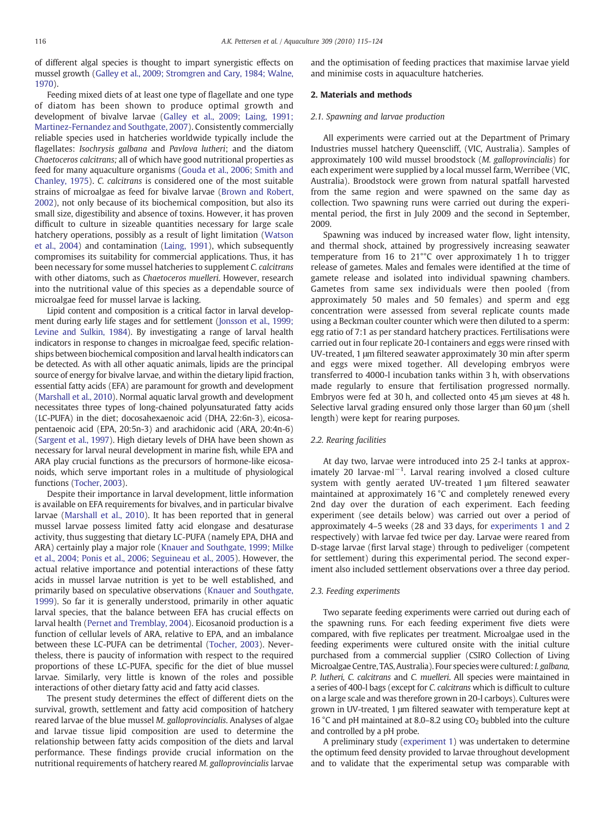of different algal species is thought to impart synergistic effects on mussel growth ([Galley et al., 2009; Stromgren and Cary, 1984; Walne,](#page-8-0) [1970\)](#page-8-0).

Feeding mixed diets of at least one type of flagellate and one type of diatom has been shown to produce optimal growth and development of bivalve larvae ([Galley et al., 2009; Laing, 1991;](#page-8-0) [Martinez-Fernandez and Southgate, 2007](#page-8-0)). Consistently commercially reliable species used in hatcheries worldwide typically include the flagellates: Isochrysis galbana and Pavlova lutheri; and the diatom Chaetoceros calcitrans; all of which have good nutritional properties as feed for many aquaculture organisms [\(Gouda et al., 2006; Smith and](#page-8-0) [Chanley, 1975](#page-8-0)). C. calcitrans is considered one of the most suitable strains of microalgae as feed for bivalve larvae ([Brown and Robert,](#page-8-0) [2002\)](#page-8-0), not only because of its biochemical composition, but also its small size, digestibility and absence of toxins. However, it has proven difficult to culture in sizeable quantities necessary for large scale hatchery operations, possibly as a result of light limitation ([Watson](#page-9-0) [et al., 2004\)](#page-9-0) and contamination [\(Laing, 1991](#page-9-0)), which subsequently compromises its suitability for commercial applications. Thus, it has been necessary for some mussel hatcheries to supplement C. calcitrans with other diatoms, such as Chaetoceros muelleri. However, research into the nutritional value of this species as a dependable source of microalgae feed for mussel larvae is lacking.

Lipid content and composition is a critical factor in larval development during early life stages and for settlement [\(Jonsson et al., 1999;](#page-9-0) [Levine and Sulkin, 1984](#page-9-0)). By investigating a range of larval health indicators in response to changes in microalgae feed, specific relationships between biochemical composition and larval health indicators can be detected. As with all other aquatic animals, lipids are the principal source of energy for bivalve larvae, and within the dietary lipid fraction, essential fatty acids (EFA) are paramount for growth and development [\(Marshall et al., 2010\)](#page-9-0). Normal aquatic larval growth and development necessitates three types of long-chained polyunsaturated fatty acids (LC-PUFA) in the diet; docosahexaenoic acid (DHA, 22:6n-3), eicosapentaenoic acid (EPA, 20:5n-3) and arachidonic acid (ARA, 20:4n-6) [\(Sargent et al., 1997](#page-9-0)). High dietary levels of DHA have been shown as necessary for larval neural development in marine fish, while EPA and ARA play crucial functions as the precursors of hormone-like eicosanoids, which serve important roles in a multitude of physiological functions [\(Tocher, 2003](#page-9-0)).

Despite their importance in larval development, little information is available on EFA requirements for bivalves, and in particular bivalve larvae ([Marshall et al., 2010\)](#page-9-0). It has been reported that in general mussel larvae possess limited fatty acid elongase and desaturase activity, thus suggesting that dietary LC-PUFA (namely EPA, DHA and ARA) certainly play a major role [\(Knauer and Southgate, 1999; Milke](#page-9-0) [et al., 2004; Ponis et al., 2006; Seguineau et al., 2005\)](#page-9-0). However, the actual relative importance and potential interactions of these fatty acids in mussel larvae nutrition is yet to be well established, and primarily based on speculative observations ([Knauer and Southgate,](#page-9-0) [1999\)](#page-9-0). So far it is generally understood, primarily in other aquatic larval species, that the balance between EFA has crucial effects on larval health ([Pernet and Tremblay, 2004](#page-9-0)). Eicosanoid production is a function of cellular levels of ARA, relative to EPA, and an imbalance between these LC-PUFA can be detrimental [\(Tocher, 2003](#page-9-0)). Nevertheless, there is paucity of information with respect to the required proportions of these LC-PUFA, specific for the diet of blue mussel larvae. Similarly, very little is known of the roles and possible interactions of other dietary fatty acid and fatty acid classes.

The present study determines the effect of different diets on the survival, growth, settlement and fatty acid composition of hatchery reared larvae of the blue mussel M. galloprovincialis. Analyses of algae and larvae tissue lipid composition are used to determine the relationship between fatty acids composition of the diets and larval performance. These findings provide crucial information on the nutritional requirements of hatchery reared M. galloprovincialis larvae and the optimisation of feeding practices that maximise larvae yield and minimise costs in aquaculture hatcheries.

# 2. Materials and methods

# 2.1. Spawning and larvae production

All experiments were carried out at the Department of Primary Industries mussel hatchery Queenscliff, (VIC, Australia). Samples of approximately 100 wild mussel broodstock (M. galloprovincialis) for each experiment were supplied by a local mussel farm, Werribee (VIC, Australia). Broodstock were grown from natural spatfall harvested from the same region and were spawned on the same day as collection. Two spawning runs were carried out during the experimental period, the first in July 2009 and the second in September, 2009.

Spawning was induced by increased water flow, light intensity, and thermal shock, attained by progressively increasing seawater temperature from 16 to 21°°C over approximately 1 h to trigger release of gametes. Males and females were identified at the time of gamete release and isolated into individual spawning chambers. Gametes from same sex individuals were then pooled (from approximately 50 males and 50 females) and sperm and egg concentration were assessed from several replicate counts made using a Beckman coulter counter which were then diluted to a sperm: egg ratio of 7:1 as per standard hatchery practices. Fertilisations were carried out in four replicate 20-l containers and eggs were rinsed with UV-treated, 1 μm filtered seawater approximately 30 min after sperm and eggs were mixed together. All developing embryos were transferred to 4000-l incubation tanks within 3 h, with observations made regularly to ensure that fertilisation progressed normally. Embryos were fed at 30 h, and collected onto 45 μm sieves at 48 h. Selective larval grading ensured only those larger than 60 μm (shell length) were kept for rearing purposes.

# 2.2. Rearing facilities

At day two, larvae were introduced into 25 2-l tanks at approximately 20 larvae·ml−<sup>1</sup> . Larval rearing involved a closed culture system with gently aerated UV-treated 1 μm filtered seawater maintained at approximately 16 °C and completely renewed every 2nd day over the duration of each experiment. Each feeding experiment (see details below) was carried out over a period of approximately 4–5 weeks (28 and 33 days, for [experiments 1 and 2](#page-3-0) respectively) with larvae fed twice per day. Larvae were reared from D-stage larvae (first larval stage) through to pediveliger (competent for settlement) during this experimental period. The second experiment also included settlement observations over a three day period.

### 2.3. Feeding experiments

Two separate feeding experiments were carried out during each of the spawning runs. For each feeding experiment five diets were compared, with five replicates per treatment. Microalgae used in the feeding experiments were cultured onsite with the initial culture purchased from a commercial supplier (CSIRO Collection of Living Microalgae Centre, TAS, Australia). Four species were cultured: I. galbana, P. lutheri, C. calcitrans and C. muelleri. All species were maintained in a series of 400-l bags (except for C. calcitrans which is difficult to culture on a large scale and was therefore grown in 20-l carboys). Cultures were grown in UV-treated, 1 μm filtered seawater with temperature kept at 16 °C and pH maintained at 8.0–8.2 using  $CO<sub>2</sub>$  bubbled into the culture and controlled by a pH probe.

A preliminary study ([experiment 1\)](#page-3-0) was undertaken to determine the optimum feed density provided to larvae throughout development and to validate that the experimental setup was comparable with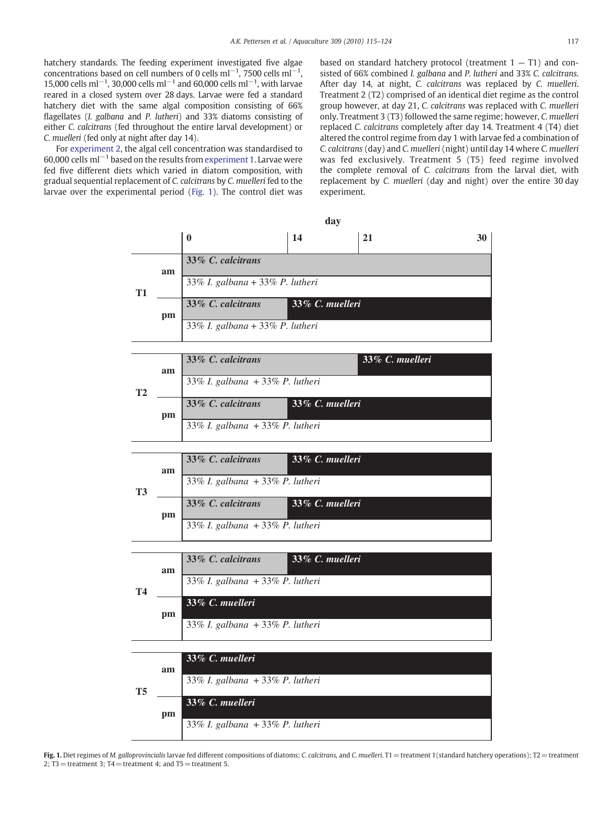<span id="page-2-0"></span>hatchery standards. The feeding experiment investigated five algae concentrations based on cell numbers of 0 cells ml<sup>-1</sup>, 7500 cells ml<sup>-1</sup>, 15,000 cells ml<sup>-1</sup>, 30,000 cells ml<sup>-1</sup> and 60,000 cells ml<sup>-1</sup>, with larvae reared in a closed system over 28 days. Larvae were fed a standard hatchery diet with the same algal composition consisting of 66% flagellates (I. galbana and P. lutheri) and 33% diatoms consisting of either C. calcitrans (fed throughout the entire larval development) or C. muelleri (fed only at night after day 14).

For [experiment 2,](#page-3-0) the algal cell concentration was standardised to 60,000 cells m $1^{-1}$  based on the results from [experiment 1.](#page-3-0) Larvae were fed five different diets which varied in diatom composition, with gradual sequential replacement of C. calcitrans by C. muelleri fed to the larvae over the experimental period (Fig. 1). The control diet was

based on standard hatchery protocol (treatment  $1 - T1$ ) and consisted of 66% combined I. galbana and P. lutheri and 33% C. calcitrans. After day 14, at night, C. calcitrans was replaced by C. muelleri. Treatment 2 (T2) comprised of an identical diet regime as the control group however, at day 21, C. calcitrans was replaced with C. muelleri only. Treatment 3 (T3) followed the same regime; however, C. muelleri replaced C. calcitrans completely after day 14. Treatment 4 (T4) diet altered the control regime from day 1 with larvae fed a combination of C. calcitrans (day) and C. muelleri (night) until day 14 where C. muelleri was fed exclusively. Treatment 5 (T5) feed regime involved the complete removal of C. calcitrans from the larval diet, with replacement by C. muelleri (day and night) over the entire 30 day experiment.



Fig. 1. Diet regimes of M. galloprovincialis larvae fed different compositions of diatoms; C. calcitrans, and C. muelleri. T1 = treatment 1(standard hatchery operations); T2 = treatment 2; T3 = treatment 3; T4 = treatment 4; and T5 = treatment 5.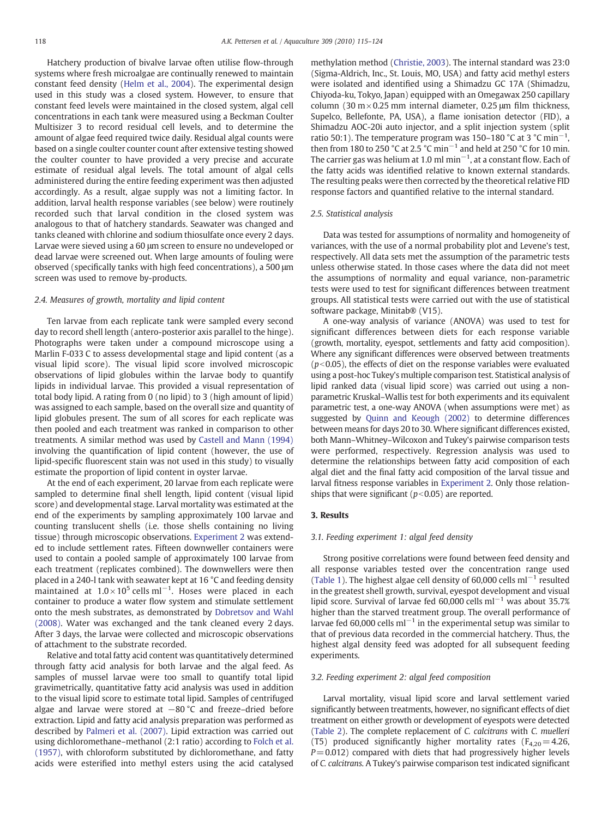<span id="page-3-0"></span>Hatchery production of bivalve larvae often utilise flow-through systems where fresh microalgae are continually renewed to maintain constant feed density [\(Helm et al., 2004](#page-9-0)). The experimental design used in this study was a closed system. However, to ensure that constant feed levels were maintained in the closed system, algal cell concentrations in each tank were measured using a Beckman Coulter Multisizer 3 to record residual cell levels, and to determine the amount of algae feed required twice daily. Residual algal counts were based on a single coulter counter count after extensive testing showed the coulter counter to have provided a very precise and accurate estimate of residual algal levels. The total amount of algal cells administered during the entire feeding experiment was then adjusted accordingly. As a result, algae supply was not a limiting factor. In addition, larval health response variables (see below) were routinely recorded such that larval condition in the closed system was analogous to that of hatchery standards. Seawater was changed and tanks cleaned with chlorine and sodium thiosulfate once every 2 days. Larvae were sieved using a 60 μm screen to ensure no undeveloped or dead larvae were screened out. When large amounts of fouling were observed (specifically tanks with high feed concentrations), a 500 μm screen was used to remove by-products.

# 2.4. Measures of growth, mortality and lipid content

Ten larvae from each replicate tank were sampled every second day to record shell length (antero-posterior axis parallel to the hinge). Photographs were taken under a compound microscope using a Marlin F-033 C to assess developmental stage and lipid content (as a visual lipid score). The visual lipid score involved microscopic observations of lipid globules within the larvae body to quantify lipids in individual larvae. This provided a visual representation of total body lipid. A rating from 0 (no lipid) to 3 (high amount of lipid) was assigned to each sample, based on the overall size and quantity of lipid globules present. The sum of all scores for each replicate was then pooled and each treatment was ranked in comparison to other treatments. A similar method was used by [Castell and Mann \(1994\)](#page-8-0) involving the quantification of lipid content (however, the use of lipid-specific fluorescent stain was not used in this study) to visually estimate the proportion of lipid content in oyster larvae.

At the end of each experiment, 20 larvae from each replicate were sampled to determine final shell length, lipid content (visual lipid score) and developmental stage. Larval mortality was estimated at the end of the experiments by sampling approximately 100 larvae and counting translucent shells (i.e. those shells containing no living tissue) through microscopic observations. Experiment 2 was extended to include settlement rates. Fifteen downweller containers were used to contain a pooled sample of approximately 100 larvae from each treatment (replicates combined). The downwellers were then placed in a 240-l tank with seawater kept at 16 °C and feeding density maintained at  $1.0 \times 10^5$  cells ml<sup>-1</sup>. Hoses were placed in each container to produce a water flow system and stimulate settlement onto the mesh substrates, as demonstrated by [Dobretsov and Wahl](#page-8-0) [\(2008\).](#page-8-0) Water was exchanged and the tank cleaned every 2 days. After 3 days, the larvae were collected and microscopic observations of attachment to the substrate recorded.

Relative and total fatty acid content was quantitatively determined through fatty acid analysis for both larvae and the algal feed. As samples of mussel larvae were too small to quantify total lipid gravimetrically, quantitative fatty acid analysis was used in addition to the visual lipid score to estimate total lipid. Samples of centrifuged algae and larvae were stored at −80 °C and freeze–dried before extraction. Lipid and fatty acid analysis preparation was performed as described by [Palmeri et al. \(2007\)](#page-9-0). Lipid extraction was carried out using dichloromethane–methanol (2:1 ratio) according to [Folch et al.](#page-8-0) [\(1957\),](#page-8-0) with chloroform substituted by dichloromethane, and fatty acids were esterified into methyl esters using the acid catalysed methylation method [\(Christie, 2003](#page-8-0)). The internal standard was 23:0 (Sigma-Aldrich, Inc., St. Louis, MO, USA) and fatty acid methyl esters were isolated and identified using a Shimadzu GC 17A (Shimadzu, Chiyoda-ku, Tokyo, Japan) equipped with an Omegawax 250 capillary column (30 m $\times$  0.25 mm internal diameter, 0.25  $\mu$ m film thickness, Supelco, Bellefonte, PA, USA), a flame ionisation detector (FID), a Shimadzu AOC-20i auto injector, and a split injection system (split ratio 50:1). The temperature program was 150–180 °C at 3 °C min<sup>-1</sup>, then from 180 to 250 °C at 2.5 °C min<sup>-1</sup> and held at 250 °C for 10 min. The carrier gas was helium at 1.0 ml min $^{-1}$ , at a constant flow. Each of the fatty acids was identified relative to known external standards. The resulting peaks were then corrected by the theoretical relative FID response factors and quantified relative to the internal standard.

# 2.5. Statistical analysis

Data was tested for assumptions of normality and homogeneity of variances, with the use of a normal probability plot and Levene's test, respectively. All data sets met the assumption of the parametric tests unless otherwise stated. In those cases where the data did not meet the assumptions of normality and equal variance, non-parametric tests were used to test for significant differences between treatment groups. All statistical tests were carried out with the use of statistical software package, Minitab® (V15).

A one-way analysis of variance (ANOVA) was used to test for significant differences between diets for each response variable (growth, mortality, eyespot, settlements and fatty acid composition). Where any significant differences were observed between treatments  $(p<0.05)$ , the effects of diet on the response variables were evaluated using a post-hoc Tukey's multiple comparison test. Statistical analysis of lipid ranked data (visual lipid score) was carried out using a nonparametric Kruskal–Wallis test for both experiments and its equivalent parametric test, a one-way ANOVA (when assumptions were met) as suggested by [Quinn and Keough \(2002\)](#page-9-0) to determine differences between means for days 20 to 30. Where significant differences existed, both Mann–Whitney–Wilcoxon and Tukey's pairwise comparison tests were performed, respectively. Regression analysis was used to determine the relationships between fatty acid composition of each algal diet and the final fatty acid composition of the larval tissue and larval fitness response variables in Experiment 2. Only those relationships that were significant ( $p<0.05$ ) are reported.

# 3. Results

# 3.1. Feeding experiment 1: algal feed density

Strong positive correlations were found between feed density and all response variables tested over the concentration range used [\(Table 1\)](#page-4-0). The highest algae cell density of 60,000 cells ml<sup>-1</sup> resulted in the greatest shell growth, survival, eyespot development and visual lipid score. Survival of larvae fed 60,000 cells ml−<sup>1</sup> was about 35.7% higher than the starved treatment group. The overall performance of larvae fed 60,000 cells ml<sup> $-1$ </sup> in the experimental setup was similar to that of previous data recorded in the commercial hatchery. Thus, the highest algal density feed was adopted for all subsequent feeding experiments.

### 3.2. Feeding experiment 2: algal feed composition

Larval mortality, visual lipid score and larval settlement varied significantly between treatments, however, no significant effects of diet treatment on either growth or development of eyespots were detected [\(Table 2\)](#page-4-0). The complete replacement of C. calcitrans with C. muelleri (T5) produced significantly higher mortality rates ( $F_{4,20} = 4.26$ ,  $P=0.012$ ) compared with diets that had progressively higher levels of C. calcitrans. A Tukey's pairwise comparison test indicated significant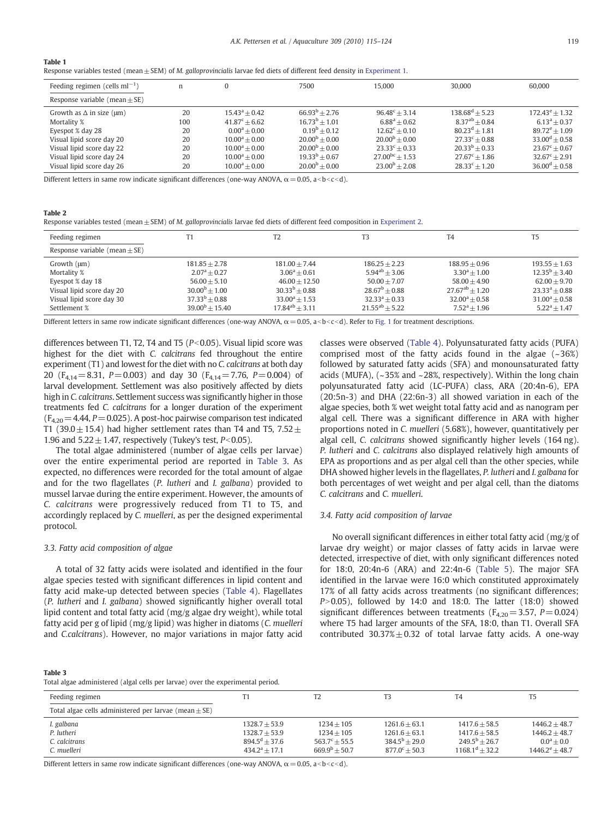#### <span id="page-4-0"></span>Table 1

Response variables tested (mean ± SEM) of M. galloprovincialis larvae fed diets of different feed density in [Experiment 1](#page-3-0).

| Feeding regimen (cells $ml^{-1}$ )    | n   | 0                      | 7500                           | 15.000                 | 30,000                 | 60,000                  |
|---------------------------------------|-----|------------------------|--------------------------------|------------------------|------------------------|-------------------------|
| Response variable (mean $\pm$ SE)     |     |                        |                                |                        |                        |                         |
| Growth as $\Delta$ in size ( $\mu$ m) | 20  | $15.43^{\circ} + 0.42$ | $66.93^{\rm b} + 2.76$         | $96.48^{\circ} + 3.14$ | $138.68^d + 5.23$      | $172.43^{\circ} + 1.32$ |
| Mortality %                           | 100 | $41.87^{\circ} + 6.62$ | $16.73^b + 1.01$               | $6.88^{\rm a} + 0.62$  | $8.37^{ab} + 0.84$     | $6.13^a + 0.37$         |
| Eyespot % day 28                      | 20  | $0.00^a + 0.00$        | $0.19^b + 0.12$                | $12.62^{\circ} + 0.10$ | $80.23^d + 1.81$       | $89.72^e + 1.09$        |
| Visual lipid score day 20             | 20  | $10.00^a + 0.00$       | $20.00^{b} + 0.00$             | $20.00^{b} + 0.00$     | $27.33^{\circ} + 0.88$ | $33.00^d + 0.58$        |
| Visual lipid score day 22             | 20  | $10.00^a + 0.00$       | $20.00^{b} + 0.00$             | $23.33^c + 0.33$       | $20.33^{b} + 0.33$     | $23.67^{\circ} + 0.67$  |
| Visual lipid score day 24             | 20  | $10.00^a + 0.00$       | $19.33^{\rm b} + 0.67$         | $27.00^{bc} + 1.53$    | $27.67^c + 1.86$       | $32.67^c + 2.91$        |
| Visual lipid score day 26             | 20  | $10.00^a + 0.00$       | $20.00^{\rm b} + 0.00^{\rm c}$ | $23.00^{\rm b} + 2.08$ | $28.33^{c} + 1.20$     | $36.00^d + 0.58$        |

Different letters in same row indicate significant differences (one-way ANOVA,  $\alpha$  = 0.05, a < b < c < d).

# Table 2

| Response variables tested (mean $\pm$ SEM) of <i>M. galloprovincialis</i> larvae fed diets of different feed composition in Experiment 2. |  |  |  |  |  |  |  |  |  |
|-------------------------------------------------------------------------------------------------------------------------------------------|--|--|--|--|--|--|--|--|--|
|-------------------------------------------------------------------------------------------------------------------------------------------|--|--|--|--|--|--|--|--|--|

| Feeding regimen                                                                                                          | Τ1                                                                                                                                            | T <sub>2</sub>                                                                                                         |                                                                                                                              | T4                                                                                                                 | T5                                                                                                                             |
|--------------------------------------------------------------------------------------------------------------------------|-----------------------------------------------------------------------------------------------------------------------------------------------|------------------------------------------------------------------------------------------------------------------------|------------------------------------------------------------------------------------------------------------------------------|--------------------------------------------------------------------------------------------------------------------|--------------------------------------------------------------------------------------------------------------------------------|
| Response variable (mean $\pm$ SE)                                                                                        |                                                                                                                                               |                                                                                                                        |                                                                                                                              |                                                                                                                    |                                                                                                                                |
| Growth (µm)<br>Mortality %<br>Eyespot % day 18<br>Visual lipid score day 20<br>Visual lipid score day 30<br>Settlement % | $181.85 + 2.78$<br>$2.07^a + 0.27$<br>$56.00 + 5.10$<br>$30.00^{\rm b} + 1.00^{\rm c}$<br>$37.33^b + 0.88$<br>$39.00^{\rm b} + 15.40^{\rm c}$ | $181.00 + 7.44$<br>$3.06^a + 0.61$<br>$46.00 + 12.50$<br>$30.33^{b} + 0.88$<br>$33.00^a + 1.53$<br>$17.84^{ab} + 3.11$ | $186.25 + 2.23$<br>$5.94^{ab} + 3.06$<br>$50.00 + 7.07$<br>$28.67^{\rm b} + 0.88$<br>$32.33^a + 0.33$<br>$21.55^{ab} + 5.22$ | $188.95 + 0.96$<br>$3.30^a + 1.00$<br>$58.00 + 4.90$<br>$27.67^{ab} + 1.20$<br>$32.00^a + 0.58$<br>$7.52^a + 1.96$ | $193.55 + 1.63$<br>$12.35^{\rm b} + 3.40^{\rm c}$<br>$62.00 + 9.70$<br>$23.33^a + 0.88$<br>$31.00^a + 0.58$<br>$5.22^a + 1.47$ |

Different letters in same row indicate significant differences (one-way ANOVA,  $\alpha = 0.05$ , a<b < c < d). Refer to [Fig. 1](#page-2-0) for treatment descriptions.

differences between T1, T2, T4 and T5 ( $P<0.05$ ). Visual lipid score was highest for the diet with C. calcitrans fed throughout the entire experiment (T1) and lowest for the diet with no C. calcitrans at both day 20 ( $F_{4,14} = 8.31$ ,  $P = 0.003$ ) and day 30 ( $F_{4,14} = 7.76$ ,  $P = 0.004$ ) of larval development. Settlement was also positively affected by diets high in C. calcitrans. Settlement success was significantly higher in those treatments fed C. calcitrans for a longer duration of the experiment  $(F_{4,20} = 4.44, P = 0.025)$ . A post-hoc pairwise comparison test indicated T1 (39.0 $\pm$ 15.4) had higher settlement rates than T4 and T5, 7.52 $\pm$ 1.96 and  $5.22 \pm 1.47$ , respectively (Tukey's test,  $P<0.05$ ).

The total algae administered (number of algae cells per larvae) over the entire experimental period are reported in Table 3. As expected, no differences were recorded for the total amount of algae and for the two flagellates (P. lutheri and I. galbana) provided to mussel larvae during the entire experiment. However, the amounts of C. calcitrans were progressively reduced from T1 to T5, and accordingly replaced by C. muelleri, as per the designed experimental protocol.

# 3.3. Fatty acid composition of algae

A total of 32 fatty acids were isolated and identified in the four algae species tested with significant differences in lipid content and fatty acid make-up detected between species [\(Table 4\)](#page-5-0). Flagellates (P. lutheri and I. galbana) showed significantly higher overall total lipid content and total fatty acid (mg/g algae dry weight), while total fatty acid per g of lipid (mg/g lipid) was higher in diatoms (C. muelleri and C.calcitrans). However, no major variations in major fatty acid classes were observed [\(Table 4\)](#page-5-0). Polyunsaturated fatty acids (PUFA) comprised most of the fatty acids found in the algae  $(-36%)$ followed by saturated fatty acids (SFA) and monounsaturated fatty acids (MUFA), (~35% and ~28%, respectively). Within the long chain polyunsaturated fatty acid (LC-PUFA) class, ARA (20:4n-6), EPA (20:5n-3) and DHA (22:6n-3) all showed variation in each of the algae species, both % wet weight total fatty acid and as nanogram per algal cell. There was a significant difference in ARA with higher proportions noted in C. muelleri (5.68%), however, quantitatively per algal cell, C. calcitrans showed significantly higher levels (164 ng). P. lutheri and C. calcitrans also displayed relatively high amounts of EPA as proportions and as per algal cell than the other species, while DHA showed higher levels in the flagellates, P. lutheri and I. galbana for both percentages of wet weight and per algal cell, than the diatoms C. calcitrans and C. muelleri.

# 3.4. Fatty acid composition of larvae

No overall significant differences in either total fatty acid (mg/g of larvae dry weight) or major classes of fatty acids in larvae were detected, irrespective of diet, with only significant differences noted for 18:0, 20:4n-6 (ARA) and 22:4n-6 [\(Table 5\)](#page-6-0). The major SFA identified in the larvae were 16:0 which constituted approximately 17% of all fatty acids across treatments (no significant differences;  $P > 0.05$ ), followed by 14:0 and 18:0. The latter (18:0) showed significant differences between treatments ( $F_{4,20}$  = 3.57,  $P$  = 0.024) where T5 had larger amounts of the SFA, 18:0, than T1. Overall SFA contributed  $30.37\% \pm 0.32$  of total larvae fatty acids. A one-way

|--|--|--|

Total algae administered (algal cells per larvae) over the experimental period.

| Feeding regimen                                           | T1                     | T <sub>2</sub>         | T3                             | T <sub>4</sub>         | T <sub>5</sub>    |
|-----------------------------------------------------------|------------------------|------------------------|--------------------------------|------------------------|-------------------|
| Total algae cells administered per larvae (mean $\pm$ SE) |                        |                        |                                |                        |                   |
| I. galbana                                                | $1328.7 + 53.9$        | $1234 + 105$           | $1261.6 + 63.1$                | $1417.6 + 58.5$        | $1446.2 + 48.7$   |
| P. lutheri                                                | $1328.7 + 53.9$        | $1234 + 105$           | $1261.6 + 63.1$                | $1417.6 + 58.5$        | $1446.2 + 48.7$   |
| C. calcitrans                                             | $894.5^{\rm d} + 37.6$ | $563.7^{\circ} + 55.5$ | $384.5^{\rm b} + 29.0^{\rm c}$ | $249.5^{\rm b} + 26.7$ | $0.0^a + 0.0$     |
| C. muelleri                                               | $434.2^a + 17.1$       | $669.9^{\rm b} + 50.7$ | $877.0^{\circ} + 50.3$         | $1168.1^d + 32.2$      | $1446.2^e + 48.7$ |

Different letters in same row indicate significant differences (one-way ANOVA,  $\alpha = 0.05$ , a < b < c < d).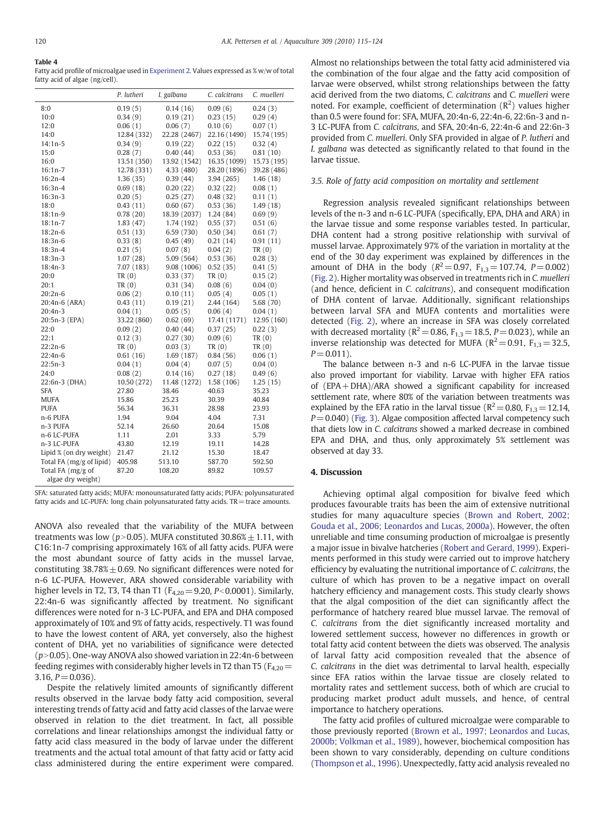<span id="page-5-0"></span>Table 4 Fatty acid profile of microalgae used in [Experiment 2](#page-3-0). Values expressed as % w/w of total fatty acid of algae (ng/cell).

|                          | P. lutheri  | I. galbana   | C. calcitrans | C. muelleri |
|--------------------------|-------------|--------------|---------------|-------------|
| 8:0                      | 0.19(5)     | 0.14(16)     | 0.09(6)       | 0.24(3)     |
| 10:0                     | 0.34(9)     | 0.19(21)     | 0.23(15)      | 0.29(4)     |
| 12:0                     | 0.06(1)     | 0.06(7)      | 0.10(6)       | 0.07(1)     |
| 14:0                     | 12.84 (332) | 22.28 (2467) | 22.16 (1490)  | 15.74 (195) |
| $14:1n-5$                | 0.34(9)     | 0.19(22)     | 0.22(15)      | 0.32(4)     |
| 15:0                     | 0.28(7)     | 0.40(44)     | 0.53(36)      | 0.81(10)    |
| 16:0                     | 13.51 (350) | 13.92 (1542) | 16.35 (1099)  | 15.73 (195) |
| $16:1n-7$                | 12.78 (331) | 4.33 (480)   | 28.20 (1896)  | 39.28 (486) |
| $16:2n-4$                | 1.36(35)    | 0.39(44)     | 3.94(265)     | 1.46(18)    |
| $16:3n-4$                | 0.69(18)    | 0.20(22)     | 0.32(22)      | 0.08(1)     |
| $16:3n-3$                | 0.20(5)     | 0.25(27)     | 0.48(32)      | 0.11(1)     |
| 18:0                     | 0.43(11)    | 0.60(67)     | 0.53(36)      | 1.49(18)    |
| $18:1n-9$                | 0.78(20)    | 18.39 (2037) | 1.24(84)      | 0.69(9)     |
| $18:1n-7$                | 1.83(47)    | 1.74 (192)   | 0.55(37)      | 0.51(6)     |
| $18:2n-6$                | 0.51(13)    | 6.59(730)    | 0.50(34)      | 0.61(7)     |
| $18:3n-6$                | 0.33(8)     | 0.45(49)     | 0.21(14)      | 0.91(11)    |
| $18:3n-4$                | 0.21(5)     | 0.07(8)      | 0.04(2)       | TR(0)       |
| $18:3n-3$                | 1.07(28)    | 5.09 (564)   | 0.53(36)      | 0.28(3)     |
| $18:4n-3$                | 7.07 (183)  | 9.08 (1006)  | 0.52(35)      | 0.41(5)     |
| 20:0                     | TR(0)       | 0.33(37)     | TR(0)         | 0.15(2)     |
| 20:1                     | TR(0)       | 0.31(34)     | 0.08(6)       | 0.04(0)     |
| $20:2n-6$                | 0.06(2)     | 0.10(11)     | 0.05(4)       | 0.05(1)     |
| 20:4n-6 (ARA)            | 0.43(11)    | 0.19(21)     | 2.44 (164)    | 5.68 (70)   |
| $20:4n-3$                | 0.04(1)     | 0.05(5)      | 0.06(4)       | 0.04(1)     |
| 20:5n-3 (EPA)            | 33.22 (860) | 0.62(69)     | 17.41 (1171)  | 12.95 (160) |
| 22:0                     | 0.09(2)     | 0.40(44)     | 0.37(25)      | 0.22(3)     |
| 22:1                     | 0.12(3)     | 0.27(30)     | 0.09(6)       | TR(0)       |
| $22:2n-6$                | TR(0)       | 0.03(3)      | TR(0)         | TR(0)       |
| 22:4n-6                  | 0.61(16)    | 1.69 (187)   | 0.84(56)      | 0.06(1)     |
| $22:5n-3$                | 0.04(1)     | 0.04(4)      | 0.07(5)       | 0.04(0)     |
| 24:0                     | 0.08(2)     | 0.14(16)     | 0.27(18)      | 0.49(6)     |
| 22:6n-3 (DHA)            | 10.50 (272) | 11.48 (1272) | 1.58 (106)    | 1.25(15)    |
| <b>SFA</b>               | 27.80       | 38.46        | 40.63         | 35.23       |
| <b>MUFA</b>              | 15.86       | 25.23        | 30.39         | 40.84       |
| <b>PUFA</b>              | 56.34       | 36.31        | 28.98         | 23.93       |
| n-6 PUFA                 | 1.94        | 9.04         | 4.04          | 7.31        |
| n-3 PUFA                 | 52.14       | 26.60        | 20.64         | 15.08       |
| n-6 LC-PUFA              | 1.11        | 2.01         | 3.33          | 5.79        |
| n-3 LC-PUFA              | 43.80       | 12.19        | 19.11         | 14.28       |
| Lipid % (on dry weight)  | 21.47       | 21.12        | 15.30         | 18.47       |
| Total FA (mg/g of lipid) | 405.98      | 513.10       | 587.70        | 592.50      |
| Total FA (mg/g of        | 87.20       | 108.20       | 89.82         | 109.57      |
| algae dry weight)        |             |              |               |             |

SFA: saturated fatty acids; MUFA: monounsaturated fatty acids; PUFA: polyunsaturated fatty acids and LC-PUFA: long chain polyunsaturated fatty acids.  $TR =$  trace amounts.

ANOVA also revealed that the variability of the MUFA between treatments was low ( $p > 0.05$ ). MUFA constituted 30.86% $\pm$  1.11, with C16:1n-7 comprising approximately 16% of all fatty acids. PUFA were the most abundant source of fatty acids in the mussel larvae, constituting  $38.78\% \pm 0.69$ . No significant differences were noted for n-6 LC-PUFA. However, ARA showed considerable variability with higher levels in T2, T3, T4 than T1 ( $F_{4,20} = 9.20$ ,  $P < 0.0001$ ). Similarly, 22:4n-6 was significantly affected by treatment. No significant differences were noted for n-3 LC-PUFA, and EPA and DHA composed approximately of 10% and 9% of fatty acids, respectively. T1 was found to have the lowest content of ARA, yet conversely, also the highest content of DHA, yet no variabilities of significance were detected  $(p>0.05)$ . One-way ANOVA also showed variation in 22:4n-6 between feeding regimes with considerably higher levels in T2 than T5 ( $F_{4,20}$  = 3.16,  $P = 0.036$ ).

Despite the relatively limited amounts of significantly different results observed in the larvae body fatty acid composition, several interesting trends of fatty acid and fatty acid classes of the larvae were observed in relation to the diet treatment. In fact, all possible correlations and linear relationships amongst the individual fatty or fatty acid class measured in the body of larvae under the different treatments and the actual total amount of that fatty acid or fatty acid class administered during the entire experiment were compared. Almost no relationships between the total fatty acid administered via the combination of the four algae and the fatty acid composition of larvae were observed, whilst strong relationships between the fatty acid derived from the two diatoms, C. calcitrans and C. muelleri were noted. For example, coefficient of determination  $(R^2)$  values higher than 0.5 were found for: SFA, MUFA, 20:4n-6, 22:4n-6, 22:6n-3 and n-3 LC-PUFA from C. calcitrans, and SFA, 20:4n-6, 22:4n-6 and 22:6n-3 provided from C. muelleri. Only SFA provided in algae of P. lutheri and I. galbana was detected as significantly related to that found in the larvae tissue.

#### 3.5. Role of fatty acid composition on mortality and settlement

Regression analysis revealed significant relationships between levels of the n-3 and n-6 LC-PUFA (specifically, EPA, DHA and ARA) in the larvae tissue and some response variables tested. In particular, DHA content had a strong positive relationship with survival of mussel larvae. Approximately 97% of the variation in mortality at the end of the 30 day experiment was explained by differences in the amount of DHA in the body ( $R^2 = 0.97$ ,  $F_{1,3} = 107.74$ ,  $P = 0.002$ ) [\(Fig. 2\)](#page-7-0). Higher mortality was observed in treatments rich in C. muelleri (and hence, deficient in C. calcitrans), and consequent modification of DHA content of larvae. Additionally, significant relationships between larval SFA and MUFA contents and mortalities were detected [\(Fig. 2\)](#page-7-0), where an increase in SFA was closely correlated with decreased mortality ( $R^2$  = 0.86, F<sub>1.3</sub> = 18.5, P = 0.023), while an inverse relationship was detected for MUFA ( $R^2$  = 0.91,  $F_{1,3}$  = 32.5,  $P = 0.011$ ).

The balance between n-3 and n-6 LC-PUFA in the larvae tissue also proved important for viability. Larvae with higher EFA ratios of (EPA+DHA)/ARA showed a significant capability for increased settlement rate, where 80% of the variation between treatments was explained by the EFA ratio in the larval tissue ( $R^2$  = 0.80, F<sub>1,3</sub> = 12,14,  $P=0.040$ ) [\(Fig. 3](#page-7-0)). Algae composition affected larval competency such that diets low in C. calcitrans showed a marked decrease in combined EPA and DHA, and thus, only approximately 5% settlement was observed at day 33.

### 4. Discussion

Achieving optimal algal composition for bivalve feed which produces favourable traits has been the aim of extensive nutritional studies for many aquaculture species [\(Brown and Robert, 2002;](#page-8-0) [Gouda et al., 2006; Leonardos and Lucas, 2000a\)](#page-8-0). However, the often unreliable and time consuming production of microalgae is presently a major issue in bivalve hatcheries ([Robert and Gerard, 1999](#page-9-0)). Experiments performed in this study were carried out to improve hatchery efficiency by evaluating the nutritional importance of C. calcitrans, the culture of which has proven to be a negative impact on overall hatchery efficiency and management costs. This study clearly shows that the algal composition of the diet can significantly affect the performance of hatchery reared blue mussel larvae. The removal of C. calcitrans from the diet significantly increased mortality and lowered settlement success, however no differences in growth or total fatty acid content between the diets was observed. The analysis of larval fatty acid composition revealed that the absence of C. calcitrans in the diet was detrimental to larval health, especially since EFA ratios within the larvae tissue are closely related to mortality rates and settlement success, both of which are crucial to producing market product adult mussels, and hence, of central importance to hatchery operations.

The fatty acid profiles of cultured microalgae were comparable to those previously reported [\(Brown et al., 1997; Leonardos and Lucas,](#page-8-0) [2000b; Volkman et al., 1989\)](#page-8-0), however, biochemical composition has been shown to vary considerably, depending on culture conditions [\(Thompson et al., 1996](#page-9-0)). Unexpectedly, fatty acid analysis revealed no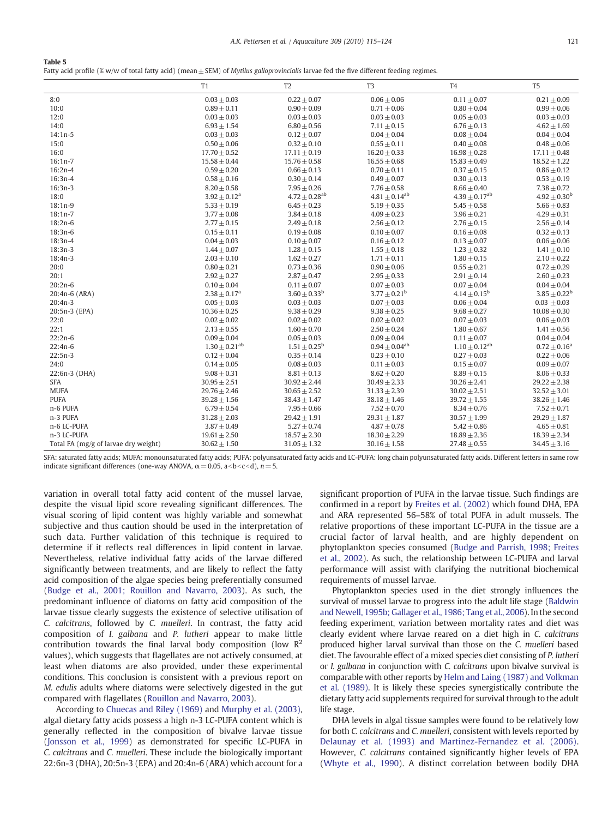<span id="page-6-0"></span>Table 5

Fatty acid profile (% w/w of total fatty acid) (mean ± SEM) of Mytilus galloprovincialis larvae fed the five different feeding regimes.

|                                      | T <sub>1</sub>                | T <sub>2</sub>                | T <sub>3</sub>          | T <sub>4</sub>                | T <sub>5</sub>          |
|--------------------------------------|-------------------------------|-------------------------------|-------------------------|-------------------------------|-------------------------|
| 8:0                                  | $0.03 \pm 0.03$               | $0.22 \pm 0.07$               | $0.06 \pm 0.06$         | $0.11 \pm 0.07$               | $0.21 \pm 0.09$         |
| 10:0                                 | $0.89 \pm 0.11$               | $0.90 \pm 0.09$               | $0.71 \pm 0.06$         | $0.80 \pm 0.04$               | $0.99 \pm 0.06$         |
| 12:0                                 | $0.03 + 0.03$                 | $0.03 \pm 0.03$               | $0.03 \pm 0.03$         | $0.05 + 0.03$                 | $0.03 + 0.03$           |
| 14:0                                 | $6.93 \pm 1.54$               | $6.80 \pm 0.56$               | $7.11 \pm 0.15$         | $6.76 \pm 0.13$               | $4.62 \pm 1.69$         |
| $14:1n-5$                            | $0.03 \pm 0.03$               | $0.12 \pm 0.07$               | $0.04 \pm 0.04$         | $0.08 \pm 0.04$               | $0.04 \pm 0.04$         |
| 15:0                                 | $0.50 \pm 0.06$               | $0.32 \pm 0.10$               | $0.55 \pm 0.11$         | $0.40 \pm 0.08$               | $0.48 \pm 0.06$         |
| 16:0                                 | $17.70 \pm 0.52$              | $17.11 \pm 0.19$              | $16.20 \pm 0.33$        | $16.98 \pm 0.28$              | $17.11 \pm 0.48$        |
| $16:1n-7$                            | $15.58 \pm 0.44$              | $15.76 \pm 0.58$              | $16.55 \pm 0.68$        | $15.83 \pm 0.49$              | $18.52 \pm 1.22$        |
| $16:2n-4$                            | $0.59 \pm 0.20$               | $0.66 \pm 0.13$               | $0.70 \pm 0.11$         | $0.37 \pm 0.15$               | $0.86 \pm 0.12$         |
| $16:3n-4$                            | $0.58 \pm 0.16$               | $0.30 \pm 0.14$               | $0.49 \pm 0.07$         | $0.30 \pm 0.13$               | $0.53 \pm 0.19$         |
| $16:3n-3$                            | $8.20 \pm 0.58$               | $7.95 \pm 0.26$               | $7.76 \pm 0.58$         | $8.66 \pm 0.40$               | $7.38 \pm 0.72$         |
| 18:0                                 | $3.92 \pm 0.12$ <sup>a</sup>  | $4.72 \pm 0.28$ <sup>ab</sup> | $4.81 \pm 0.14^{ab}$    | $4.39 \pm 0.17$ <sup>ab</sup> | $4.92 \pm 0.30^{\rm b}$ |
| $18:1n-9$                            | $5.33 \pm 0.19$               | $6.45 \pm 0.23$               | $5.19 \pm 0.35$         | $5.45 \pm 0.58$               | $5.66 \pm 0.83$         |
| $18:1n-7$                            | $3.77 \pm 0.08$               | $3.84 \pm 0.18$               | $4.09 \pm 0.23$         | $3.96 \pm 0.21$               | $4.29 \pm 0.31$         |
| $18:2n-6$                            | $2.77 \pm 0.15$               | $2.49 \pm 0.18$               | $2.56 \pm 0.12$         | $2.76 \pm 0.15$               | $2.56 \pm 0.14$         |
| $18:3n-6$                            | $0.15 \pm 0.11$               | $0.19 \pm 0.08$               | $0.10 \pm 0.07$         | $0.16 \pm 0.08$               | $0.32 \pm 0.13$         |
| $18:3n-4$                            | $0.04 \pm 0.03$               | $0.10 \pm 0.07$               | $0.16 \pm 0.12$         | $0.13 \pm 0.07$               | $0.06 \pm 0.06$         |
| $18:3n-3$                            | $1.44 \pm 0.07$               | $1.28 \pm 0.15$               | $1.55 \pm 0.18$         | $1.23 \pm 0.32$               | $1.41 \pm 0.10$         |
| $18:4n-3$                            | $2.03 \pm 0.10$               | $1.62 \pm 0.27$               | $1.71 \pm 0.11$         | $1.80 \pm 0.15$               | $2.10 \pm 0.22$         |
| 20:0                                 | $0.80 \pm 0.21$               | $0.73 \pm 0.36$               | $0.90 \pm 0.06$         | $0.55 \pm 0.21$               | $0.72 \pm 0.29$         |
| 20:1                                 | $2.92 \pm 0.27$               | $2.87 \pm 0.47$               | $2.95 \pm 0.33$         | $2.91 \pm 0.14$               | $2.60 \pm 0.23$         |
| $20:2n-6$                            | $0.10 \pm 0.04$               | $0.11\pm0.07$                 | $0.07 \pm 0.03$         | $0.07 \pm 0.04$               | $0.04 \pm 0.04$         |
| 20:4n-6 (ARA)                        | $2.38 \pm 0.17$ <sup>a</sup>  | $3.60 \pm 0.33^b$             | $3.77 \pm 0.21^{\rm b}$ | $4.14 \pm 0.15^{\rm b}$       | $3.85 \pm 0.22^{\rm b}$ |
| $20:4n-3$                            | $0.05 \pm 0.03$               | $0.03 \pm 0.03$               | $0.07 \pm 0.03$         | $0.06 \pm 0.04$               | $0.03 \pm 0.03$         |
| 20:5n-3 (EPA)                        | $10.36 \pm 0.25$              | $9.38 \pm 0.29$               | $9.38 \pm 0.25$         | $9.68 \pm 0.27$               | $10.08 \pm 0.30$        |
| 22:0                                 | $0.02 \pm 0.02$               | $0.02 \pm 0.02$               | $0.02 \pm 0.02$         | $0.07 \pm 0.03$               | $0.06 \pm 0.03$         |
| 22:1                                 | $2.13 \pm 0.55$               | $1.60 \pm 0.70$               | $2.50 \pm 0.24$         | $1.80 \pm 0.67$               | $1.41 \pm 0.56$         |
| $22:2n-6$                            | $0.09 \pm 0.04$               | $0.05 \pm 0.03$               | $0.09 \pm 0.04$         | $0.11 \pm 0.07$               | $0.04 \pm 0.04$         |
| $22:4n-6$                            | $1.30 \pm 0.21$ <sup>ab</sup> | $1.51 \pm 0.25^{\rm b}$       | $0.94 \pm 0.04^{ab}$    | $1.10 \pm 0.12^{ab}$          | $0.72 \pm 0.16^a$       |
| $22:5n-3$                            | $0.12 \pm 0.04$               | $0.35 \pm 0.14$               | $0.23 \pm 0.10$         | $0.27 \pm 0.03$               | $0.22 \pm 0.06$         |
| 24:0                                 | $0.14 \pm 0.05$               | $0.08 \pm 0.03$               | $0.11 \pm 0.03$         | $0.15 \pm 0.07$               | $0.09 \pm 0.07$         |
| 22:6n-3 (DHA)                        | $9.08 \pm 0.31$               | $8.81 \pm 0.13$               | $8.62 \pm 0.20$         | $8.89 \pm 0.15$               | $8.06 + 0.33$           |
| <b>SFA</b>                           | $30.95 \pm 2.51$              | $30.92 \pm 2.44$              | $30.49 \pm 2.33$        | $30.26 \pm 2.41$              | $29.22 + 2.38$          |
| <b>MUFA</b>                          | $29.76 \pm 2.46$              | $30.65 \pm 2.52$              | $31.33 \pm 2.39$        | $30.02 \pm 2.51$              | $32.52 \pm 3.01$        |
| <b>PUFA</b>                          | $39.28 \pm 1.56$              | $38.43 \pm 1.47$              | $38.18 \pm 1.46$        | $39.72 \pm 1.55$              | $38.26 \pm 1.46$        |
| n-6 PUFA                             | $6.79 \pm 0.54$               | $7.95 \pm 0.66$               | $7.52 \pm 0.70$         | $8.34 \pm 0.76$               | $7.52 \pm 0.71$         |
| n-3 PUFA                             | $31.28 \pm 2.03$              | $29.42 \pm 1.91$              | $29.31 \pm 1.87$        | $30.57 \pm 1.99$              | $29.29 + 1.87$          |
| n-6 LC-PUFA                          | $3.87 \pm 0.49$               | $5.27 \pm 0.74$               | $4.87 \pm 0.78$         | $5.42 \pm 0.86$               | $4.65 \pm 0.81$         |
| n-3 LC-PUFA                          | $19.61 \pm 2.50$              | $18.57 \pm 2.30$              | $18.30 \pm 2.29$        | $18.89 \pm 2.36$              | $18.39 \pm 2.34$        |
| Total FA (mg/g of larvae dry weight) | $30.62 \pm 1.50$              | $31.05 \pm 1.32$              | $30.16 \pm 1.58$        | $27.48 \pm 0.55$              | $34.45 \pm 3.16$        |

SFA: saturated fatty acids; MUFA: monounsaturated fatty acids; PUFA: polyunsaturated fatty acids and LC-PUFA: long chain polyunsaturated fatty acids. Different letters in same row indicate significant differences (one-way ANOVA,  $\alpha$  = 0.05, a < b < c < d), n = 5.

variation in overall total fatty acid content of the mussel larvae, despite the visual lipid score revealing significant differences. The visual scoring of lipid content was highly variable and somewhat subjective and thus caution should be used in the interpretation of such data. Further validation of this technique is required to determine if it reflects real differences in lipid content in larvae. Nevertheless, relative individual fatty acids of the larvae differed significantly between treatments, and are likely to reflect the fatty acid composition of the algae species being preferentially consumed [\(Budge et al., 2001; Rouillon and Navarro, 2003](#page-8-0)). As such, the predominant influence of diatoms on fatty acid composition of the larvae tissue clearly suggests the existence of selective utilisation of C. calcitrans, followed by C. muelleri. In contrast, the fatty acid composition of I. galbana and P. lutheri appear to make little contribution towards the final larval body composition (low  $\mathbb{R}^2$ ) values), which suggests that flagellates are not actively consumed, at least when diatoms are also provided, under these experimental conditions. This conclusion is consistent with a previous report on M. edulis adults where diatoms were selectively digested in the gut compared with flagellates ([Rouillon and Navarro, 2003](#page-9-0)).

According to [Chuecas and Riley \(1969\)](#page-8-0) and [Murphy et al. \(2003\),](#page-9-0) algal dietary fatty acids possess a high n-3 LC-PUFA content which is generally reflected in the composition of bivalve larvae tissue [\(Jonsson et al., 1999\)](#page-9-0) as demonstrated for specific LC-PUFA in C. calcitrans and C. muelleri. These include the biologically important 22:6n-3 (DHA), 20:5n-3 (EPA) and 20:4n-6 (ARA) which account for a significant proportion of PUFA in the larvae tissue. Such findings are confirmed in a report by [Freites et al. \(2002\)](#page-8-0) which found DHA, EPA and ARA represented 56–58% of total PUFA in adult mussels. The relative proportions of these important LC-PUFA in the tissue are a crucial factor of larval health, and are highly dependent on phytoplankton species consumed [\(Budge and Parrish, 1998; Freites](#page-8-0) [et al., 2002](#page-8-0)). As such, the relationship between LC-PUFA and larval performance will assist with clarifying the nutritional biochemical requirements of mussel larvae.

Phytoplankton species used in the diet strongly influences the survival of mussel larvae to progress into the adult life stage [\(Baldwin](#page-8-0) [and Newell, 1995b; Gallager et al., 1986; Tang et al., 2006](#page-8-0)). In the second feeding experiment, variation between mortality rates and diet was clearly evident where larvae reared on a diet high in C. calcitrans produced higher larval survival than those on the C. muelleri based diet. The favourable effect of a mixed species diet consisting of P. lutheri or I. galbana in conjunction with C. calcitrans upon bivalve survival is comparable with other reports by [Helm and Laing \(1987\) and Volkman](#page-9-0) [et al. \(1989\)](#page-9-0). It is likely these species synergistically contribute the dietary fatty acid supplements required for survival through to the adult life stage.

DHA levels in algal tissue samples were found to be relatively low for both C. calcitrans and C. muelleri, consistent with levels reported by [Delaunay et al. \(1993\) and Martinez-Fernandez et al. \(2006\).](#page-8-0) However, C. calcitrans contained significantly higher levels of EPA [\(Whyte et al., 1990\)](#page-9-0). A distinct correlation between bodily DHA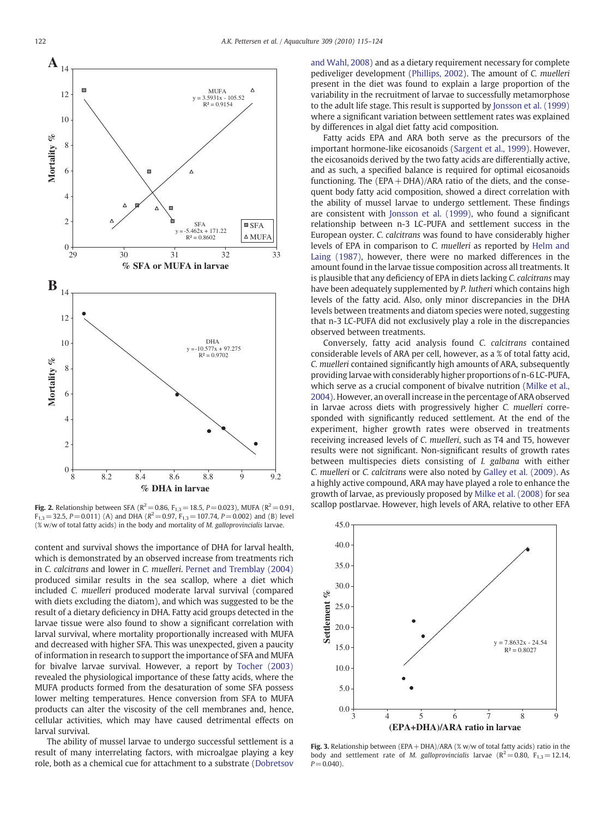<span id="page-7-0"></span>

**Fig. 2.** Relationship between SFA ( $R^2$  = 0.86, F<sub>1,3</sub> = 18.5, P = 0.023), MUFA ( $R^2$  = 0.91,  $F_{1,3}$  = 32.5, P = 0.011) (A) and DHA ( $R^2$  = 0.97,  $F_{1,3}$  = 107.74, P = 0.002) and (B) level (% w/w of total fatty acids) in the body and mortality of M. galloprovincialis larvae.

content and survival shows the importance of DHA for larval health, which is demonstrated by an observed increase from treatments rich in C. calcitrans and lower in C. muelleri. [Pernet and Tremblay \(2004\)](#page-9-0) produced similar results in the sea scallop, where a diet which included C. muelleri produced moderate larval survival (compared with diets excluding the diatom), and which was suggested to be the result of a dietary deficiency in DHA. Fatty acid groups detected in the larvae tissue were also found to show a significant correlation with larval survival, where mortality proportionally increased with MUFA and decreased with higher SFA. This was unexpected, given a paucity of information in research to support the importance of SFA and MUFA for bivalve larvae survival. However, a report by [Tocher \(2003\)](#page-9-0) revealed the physiological importance of these fatty acids, where the MUFA products formed from the desaturation of some SFA possess lower melting temperatures. Hence conversion from SFA to MUFA products can alter the viscosity of the cell membranes and, hence, cellular activities, which may have caused detrimental effects on larval survival.

The ability of mussel larvae to undergo successful settlement is a result of many interrelating factors, with microalgae playing a key role, both as a chemical cue for attachment to a substrate ([Dobretsov](#page-8-0) [and Wahl, 2008\)](#page-8-0) and as a dietary requirement necessary for complete pediveliger development ([Phillips, 2002](#page-9-0)). The amount of C. muelleri present in the diet was found to explain a large proportion of the variability in the recruitment of larvae to successfully metamorphose to the adult life stage. This result is supported by [Jonsson et al. \(1999\)](#page-9-0) where a significant variation between settlement rates was explained by differences in algal diet fatty acid composition.

Fatty acids EPA and ARA both serve as the precursors of the important hormone-like eicosanoids ([Sargent et al., 1999](#page-9-0)). However, the eicosanoids derived by the two fatty acids are differentially active, and as such, a specified balance is required for optimal eicosanoids functioning. The (EPA + DHA)/ARA ratio of the diets, and the consequent body fatty acid composition, showed a direct correlation with the ability of mussel larvae to undergo settlement. These findings are consistent with [Jonsson et al. \(1999\)](#page-9-0), who found a significant relationship between n-3 LC-PUFA and settlement success in the European oyster. C. calcitrans was found to have considerably higher levels of EPA in comparison to C. muelleri as reported by [Helm and](#page-9-0) [Laing \(1987\),](#page-9-0) however, there were no marked differences in the amount found in the larvae tissue composition across all treatments. It is plausible that any deficiency of EPA in diets lacking C. calcitrans may have been adequately supplemented by P. lutheri which contains high levels of the fatty acid. Also, only minor discrepancies in the DHA levels between treatments and diatom species were noted, suggesting that n-3 LC-PUFA did not exclusively play a role in the discrepancies observed between treatments.

Conversely, fatty acid analysis found C. calcitrans contained considerable levels of ARA per cell, however, as a % of total fatty acid, C. muelleri contained significantly high amounts of ARA, subsequently providing larvae with considerably higher proportions of n-6 LC-PUFA, which serve as a crucial component of bivalve nutrition ([Milke et al.,](#page-9-0) [2004\)](#page-9-0). However, an overall increase in the percentage of ARA observed in larvae across diets with progressively higher C. muelleri corresponded with significantly reduced settlement. At the end of the experiment, higher growth rates were observed in treatments receiving increased levels of C. muelleri, such as T4 and T5, however results were not significant. Non-significant results of growth rates between multispecies diets consisting of I. galbana with either C. muelleri or C. calcitrans were also noted by [Galley et al. \(2009\).](#page-8-0) As a highly active compound, ARA may have played a role to enhance the growth of larvae, as previously proposed by [Milke et al. \(2008\)](#page-9-0) for sea scallop postlarvae. However, high levels of ARA, relative to other EFA



Fig. 3. Relationship between (EPA + DHA)/ARA (% w/w of total fatty acids) ratio in the body and settlement rate of M. galloprovincialis larvae ( $R^2$  = 0.80, F<sub>1,3</sub> = 12.14,  $P = 0.040$ ).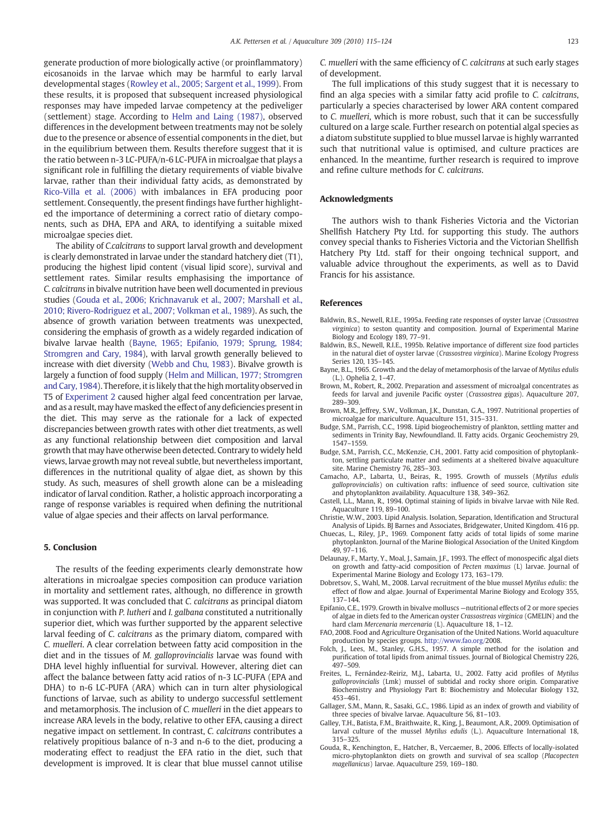<span id="page-8-0"></span>generate production of more biologically active (or proinflammatory) eicosanoids in the larvae which may be harmful to early larval developmental stages [\(Rowley et al., 2005; Sargent et al., 1999](#page-9-0)). From these results, it is proposed that subsequent increased physiological responses may have impeded larvae competency at the pediveliger (settlement) stage. According to [Helm and Laing \(1987\)](#page-9-0), observed differences in the development between treatments may not be solely due to the presence or absence of essential components in the diet, but in the equilibrium between them. Results therefore suggest that it is the ratio between n-3 LC-PUFA/n-6 LC-PUFA in microalgae that plays a significant role in fulfilling the dietary requirements of viable bivalve larvae, rather than their individual fatty acids, as demonstrated by [Rico-Villa et al. \(2006\)](#page-9-0) with imbalances in EFA producing poor settlement. Consequently, the present findings have further highlighted the importance of determining a correct ratio of dietary components, such as DHA, EPA and ARA, to identifying a suitable mixed microalgae species diet.

The ability of C.calcitrans to support larval growth and development is clearly demonstrated in larvae under the standard hatchery diet (T1), producing the highest lipid content (visual lipid score), survival and settlement rates. Similar results emphasising the importance of C. calcitrans in bivalve nutrition have been well documented in previous studies (Gouda et al., 2006; Krichnavaruk et al., 2007; Marshall et al., 2010; Rivero-Rodriguez et al., 2007; Volkman et al., 1989). As such, the absence of growth variation between treatments was unexpected, considering the emphasis of growth as a widely regarded indication of bivalve larvae health (Bayne, 1965; Epifanio, 1979; Sprung, 1984; Stromgren and Cary, 1984), with larval growth generally believed to increase with diet diversity [\(Webb and Chu, 1983](#page-9-0)). Bivalve growth is largely a function of food supply ([Helm and Millican, 1977; Stromgren](#page-9-0) [and Cary, 1984](#page-9-0)). Therefore, it is likely that the high mortality observed in T5 of [Experiment 2](#page-3-0) caused higher algal feed concentration per larvae, and as a result, may have masked the effect of any deficiencies present in the diet. This may serve as the rationale for a lack of expected discrepancies between growth rates with other diet treatments, as well as any functional relationship between diet composition and larval growth that may have otherwise been detected. Contrary to widely held views, larvae growth may not reveal subtle, but nevertheless important, differences in the nutritional quality of algae diet, as shown by this study. As such, measures of shell growth alone can be a misleading indicator of larval condition. Rather, a holistic approach incorporating a range of response variables is required when defining the nutritional value of algae species and their affects on larval performance.

#### 5. Conclusion

The results of the feeding experiments clearly demonstrate how alterations in microalgae species composition can produce variation in mortality and settlement rates, although, no difference in growth was supported. It was concluded that C. calcitrans as principal diatom in conjunction with P. lutheri and I. galbana constituted a nutritionally superior diet, which was further supported by the apparent selective larval feeding of C. calcitrans as the primary diatom, compared with C. muelleri. A clear correlation between fatty acid composition in the diet and in the tissues of M. galloprovincialis larvae was found with DHA level highly influential for survival. However, altering diet can affect the balance between fatty acid ratios of n-3 LC-PUFA (EPA and DHA) to n-6 LC-PUFA (ARA) which can in turn alter physiological functions of larvae, such as ability to undergo successful settlement and metamorphosis. The inclusion of C. muelleri in the diet appears to increase ARA levels in the body, relative to other EFA, causing a direct negative impact on settlement. In contrast, C. calcitrans contributes a relatively propitious balance of n-3 and n-6 to the diet, producing a moderating effect to readjust the EFA ratio in the diet, such that development is improved. It is clear that blue mussel cannot utilise

C. muelleri with the same efficiency of C. calcitrans at such early stages of development.

The full implications of this study suggest that it is necessary to find an alga species with a similar fatty acid profile to C. calcitrans, particularly a species characterised by lower ARA content compared to C. muelleri, which is more robust, such that it can be successfully cultured on a large scale. Further research on potential algal species as a diatom substitute supplied to blue mussel larvae is highly warranted such that nutritional value is optimised, and culture practices are enhanced. In the meantime, further research is required to improve and refine culture methods for C. calcitrans.

# Acknowledgments

The authors wish to thank Fisheries Victoria and the Victorian Shellfish Hatchery Pty Ltd. for supporting this study. The authors convey special thanks to Fisheries Victoria and the Victorian Shellfish Hatchery Pty Ltd. staff for their ongoing technical support, and valuable advice throughout the experiments, as well as to David Francis for his assistance.

#### References

- Baldwin, B.S., Newell, R.I.E., 1995a. Feeding rate responses of oyster larvae (Crassostrea virginica) to seston quantity and composition. Journal of Experimental Marine Biology and Ecology 189, 77–91.
- Baldwin, B.S., Newell, R.I.E., 1995b. Relative importance of different size food particles in the natural diet of oyster larvae (Crassostrea virginica). Marine Ecology Progress Series 120, 135–145.
- Bayne, B.L., 1965. Growth and the delay of metamorphosis of the larvae of Mytilus edulis (L.). Ophelia 2, 1–47.
- Brown, M., Robert, R., 2002. Preparation and assessment of microalgal concentrates as feeds for larval and juvenile Pacific oyster (Crassostrea gigas). Aquaculture 207, 289–309.
- Brown, M.R., Jeffrey, S.W., Volkman, J.K., Dunstan, G.A., 1997. Nutritional properties of microalgae for mariculture. Aquaculture 151, 315–331.
- Budge, S.M., Parrish, C.C., 1998. Lipid biogeochemistry of plankton, settling matter and sediments in Trinity Bay, Newfoundland. II. Fatty acids. Organic Geochemistry 29, 1547–1559.
- Budge, S.M., Parrish, C.C., McKenzie, C.H., 2001. Fatty acid composition of phytoplankton, settling particulate matter and sediments at a sheltered bivalve aquaculture site. Marine Chemistry 76, 285–303.
- Camacho, A.P., Labarta, U., Beiras, R., 1995. Growth of mussels (Mytilus edulis galloprovincialis) on cultivation rafts: influence of seed source, cultivation site and phytoplankton availability. Aquaculture 138, 349–362.
- Castell, L.L., Mann, R., 1994. Optimal staining of lipids in bivalve larvae with Nile Red. Aquaculture 119, 89–100.
- Christie, W.W., 2003. Lipid Analysis. Isolation, Separation, Identification and Structural Analysis of Lipids. BJ Barnes and Associates, Bridgewater, United Kingdom. 416 pp.
- Chuecas, L., Riley, J.P., 1969. Component fatty acids of total lipids of some marine phytoplankton. Journal of the Marine Biological Association of the United Kingdom 49, 97–116.
- Delaunay, F., Marty, Y., Moal, J., Samain, J.F., 1993. The effect of monospecific algal diets on growth and fatty-acid composition of Pecten maximus (L) larvae. Journal of Experimental Marine Biology and Ecology 173, 163–179.
- Dobretsov, S., Wahl, M., 2008. Larval recruitment of the blue mussel Mytilus edulis: the effect of flow and algae. Journal of Experimental Marine Biology and Ecology 355, 137–144.
- Epifanio, C.E., 1979. Growth in bivalve molluscs —nutritional effects of 2 or more species of algae in diets fed to the American oyster Crassostreas virginica (GMELIN) and the hard clam Mercenaria mercenaria (L). Aquaculture 18, 1–12.
- FAO, 2008. Food and Agriculture Organisation of the United Nations. World aquaculture production by species groups. <http://www.fao.org/>2008.
- Folch, J., Lees, M., Stanley, G.H.S., 1957. A simple method for the isolation and purification of total lipids from animal tissues. Journal of Biological Chemistry 226, 497–509.
- Freites, L., Fernández-Reiriz, M.J., Labarta, U., 2002. Fatty acid profiles of Mytilus galloprovincialis (Lmk) mussel of subtidal and rocky shore origin. Comparative Biochemistry and Physiology Part B: Biochemistry and Molecular Biology 132, 453–461.
- Gallager, S.M., Mann, R., Sasaki, G.C., 1986. Lipid as an index of growth and viability of three species of bivalve larvae. Aquaculture 56, 81-103.
- Galley, T.H., Batista, F.M., Braithwaite, R., King, J., Beaumont, A.R., 2009. Optimisation of larval culture of the mussel Mytilus edulis (L.). Aquaculture International 18, 315–325.
- Gouda, R., Kenchington, E., Hatcher, B., Vercaemer, B., 2006. Effects of locally-isolated micro-phytoplankton diets on growth and survival of sea scallop (Placopecten magellanicus) larvae. Aquaculture 259, 169–180.